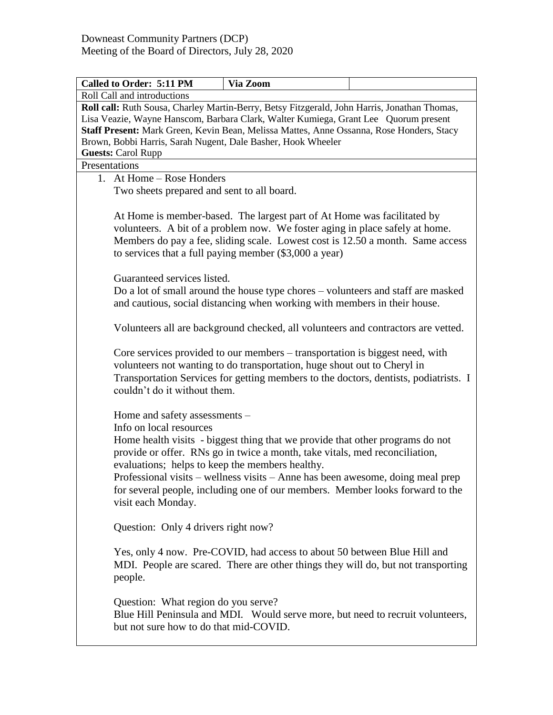|                                                                                                                                                                                                                                                                                                                                                                              | Via Zoom                                                                                                                                                                                                                                                                                                                        |  |  |  |  |
|------------------------------------------------------------------------------------------------------------------------------------------------------------------------------------------------------------------------------------------------------------------------------------------------------------------------------------------------------------------------------|---------------------------------------------------------------------------------------------------------------------------------------------------------------------------------------------------------------------------------------------------------------------------------------------------------------------------------|--|--|--|--|
| Roll Call and introductions                                                                                                                                                                                                                                                                                                                                                  |                                                                                                                                                                                                                                                                                                                                 |  |  |  |  |
| Roll call: Ruth Sousa, Charley Martin-Berry, Betsy Fitzgerald, John Harris, Jonathan Thomas,<br>Lisa Veazie, Wayne Hanscom, Barbara Clark, Walter Kumiega, Grant Lee Quorum present<br>Staff Present: Mark Green, Kevin Bean, Melissa Mattes, Anne Ossanna, Rose Honders, Stacy<br>Brown, Bobbi Harris, Sarah Nugent, Dale Basher, Hook Wheeler<br><b>Guests: Carol Rupp</b> |                                                                                                                                                                                                                                                                                                                                 |  |  |  |  |
| Presentations                                                                                                                                                                                                                                                                                                                                                                |                                                                                                                                                                                                                                                                                                                                 |  |  |  |  |
| 1. At Home – Rose Honders<br>Two sheets prepared and sent to all board.                                                                                                                                                                                                                                                                                                      |                                                                                                                                                                                                                                                                                                                                 |  |  |  |  |
|                                                                                                                                                                                                                                                                                                                                                                              | At Home is member-based. The largest part of At Home was facilitated by<br>volunteers. A bit of a problem now. We foster aging in place safely at home.<br>Members do pay a fee, sliding scale. Lowest cost is 12.50 a month. Same access<br>to services that a full paying member (\$3,000 a year)                             |  |  |  |  |
|                                                                                                                                                                                                                                                                                                                                                                              | Guaranteed services listed.<br>Do a lot of small around the house type chores - volunteers and staff are masked<br>and cautious, social distancing when working with members in their house.                                                                                                                                    |  |  |  |  |
|                                                                                                                                                                                                                                                                                                                                                                              | Volunteers all are background checked, all volunteers and contractors are vetted.                                                                                                                                                                                                                                               |  |  |  |  |
|                                                                                                                                                                                                                                                                                                                                                                              | Core services provided to our members – transportation is biggest need, with<br>volunteers not wanting to do transportation, huge shout out to Cheryl in<br>Transportation Services for getting members to the doctors, dentists, podiatrists. I<br>couldn't do it without them.                                                |  |  |  |  |
| Home and safety assessments –<br>Info on local resources<br>evaluations; helps to keep the members healthy.<br>visit each Monday.                                                                                                                                                                                                                                            | Home health visits - biggest thing that we provide that other programs do not<br>provide or offer. RNs go in twice a month, take vitals, med reconciliation,<br>Professional visits - wellness visits - Anne has been awesome, doing meal prep<br>for several people, including one of our members. Member looks forward to the |  |  |  |  |
| Question: Only 4 drivers right now?                                                                                                                                                                                                                                                                                                                                          |                                                                                                                                                                                                                                                                                                                                 |  |  |  |  |
| Yes, only 4 now. Pre-COVID, had access to about 50 between Blue Hill and<br>MDI. People are scared. There are other things they will do, but not transporting<br>people.                                                                                                                                                                                                     |                                                                                                                                                                                                                                                                                                                                 |  |  |  |  |
| Question: What region do you serve?                                                                                                                                                                                                                                                                                                                                          |                                                                                                                                                                                                                                                                                                                                 |  |  |  |  |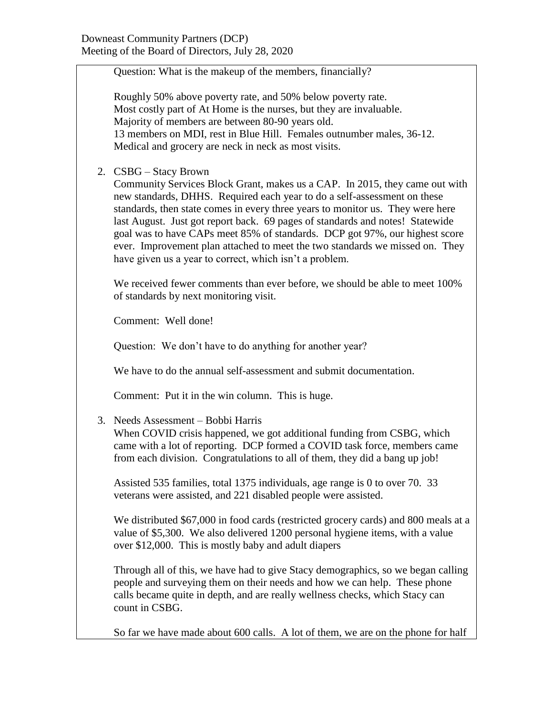Question: What is the makeup of the members, financially?

Roughly 50% above poverty rate, and 50% below poverty rate. Most costly part of At Home is the nurses, but they are invaluable. Majority of members are between 80-90 years old. 13 members on MDI, rest in Blue Hill. Females outnumber males, 36-12. Medical and grocery are neck in neck as most visits.

2. CSBG – Stacy Brown

Community Services Block Grant, makes us a CAP. In 2015, they came out with new standards, DHHS. Required each year to do a self-assessment on these standards, then state comes in every three years to monitor us. They were here last August. Just got report back. 69 pages of standards and notes! Statewide goal was to have CAPs meet 85% of standards. DCP got 97%, our highest score ever. Improvement plan attached to meet the two standards we missed on. They have given us a year to correct, which isn't a problem.

We received fewer comments than ever before, we should be able to meet  $100\%$ of standards by next monitoring visit.

Comment: Well done!

Question: We don't have to do anything for another year?

We have to do the annual self-assessment and submit documentation.

Comment: Put it in the win column. This is huge.

3. Needs Assessment – Bobbi Harris

When COVID crisis happened, we got additional funding from CSBG, which came with a lot of reporting. DCP formed a COVID task force, members came from each division. Congratulations to all of them, they did a bang up job!

Assisted 535 families, total 1375 individuals, age range is 0 to over 70. 33 veterans were assisted, and 221 disabled people were assisted.

We distributed \$67,000 in food cards (restricted grocery cards) and 800 meals at a value of \$5,300. We also delivered 1200 personal hygiene items, with a value over \$12,000. This is mostly baby and adult diapers

Through all of this, we have had to give Stacy demographics, so we began calling people and surveying them on their needs and how we can help. These phone calls became quite in depth, and are really wellness checks, which Stacy can count in CSBG.

So far we have made about 600 calls. A lot of them, we are on the phone for half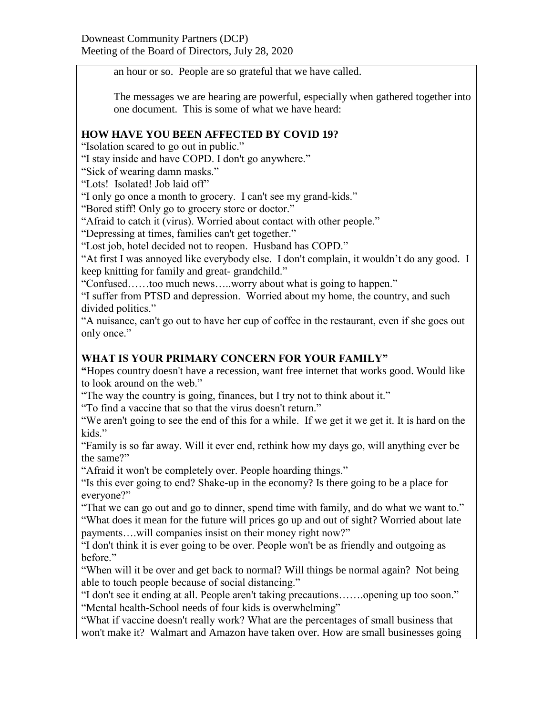an hour or so. People are so grateful that we have called.

The messages we are hearing are powerful, especially when gathered together into one document. This is some of what we have heard:

#### **HOW HAVE YOU BEEN AFFECTED BY COVID 19?**

"Isolation scared to go out in public."

"I stay inside and have COPD. I don't go anywhere."

"Sick of wearing damn masks."

"Lots! Isolated! Job laid off"

"I only go once a month to grocery. I can't see my grand-kids."

"Bored stiff! Only go to grocery store or doctor."

"Afraid to catch it (virus). Worried about contact with other people."

"Depressing at times, families can't get together."

"Lost job, hotel decided not to reopen. Husband has COPD."

"At first I was annoyed like everybody else. I don't complain, it wouldn't do any good. I keep knitting for family and great- grandchild."

"Confused……too much news…..worry about what is going to happen."

"I suffer from PTSD and depression. Worried about my home, the country, and such divided politics."

"A nuisance, can't go out to have her cup of coffee in the restaurant, even if she goes out only once."

## **WHAT IS YOUR PRIMARY CONCERN FOR YOUR FAMILY"**

**"**Hopes country doesn't have a recession, want free internet that works good. Would like to look around on the web."

"The way the country is going, finances, but I try not to think about it."

"To find a vaccine that so that the virus doesn't return."

"We aren't going to see the end of this for a while. If we get it we get it. It is hard on the kids."

"Family is so far away. Will it ever end, rethink how my days go, will anything ever be the same?"

"Afraid it won't be completely over. People hoarding things."

"Is this ever going to end? Shake-up in the economy? Is there going to be a place for everyone?"

"That we can go out and go to dinner, spend time with family, and do what we want to." "What does it mean for the future will prices go up and out of sight? Worried about late payments….will companies insist on their money right now?"

"I don't think it is ever going to be over. People won't be as friendly and outgoing as before."

"When will it be over and get back to normal? Will things be normal again? Not being able to touch people because of social distancing."

"I don't see it ending at all. People aren't taking precautions…….opening up too soon." "Mental health-School needs of four kids is overwhelming"

"What if vaccine doesn't really work? What are the percentages of small business that won't make it? Walmart and Amazon have taken over. How are small businesses going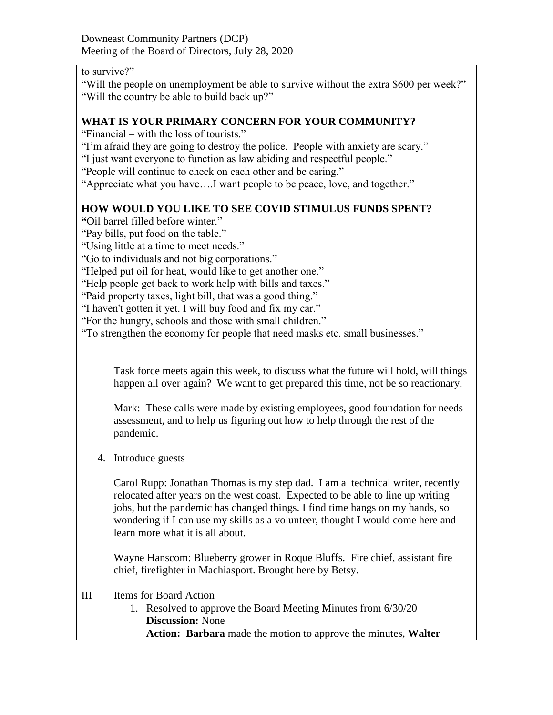## to survive?"

"Will the people on unemployment be able to survive without the extra \$600 per week?" "Will the country be able to build back up?"

### **WHAT IS YOUR PRIMARY CONCERN FOR YOUR COMMUNITY?**

"Financial – with the loss of tourists."

- "I'm afraid they are going to destroy the police. People with anxiety are scary."
- "I just want everyone to function as law abiding and respectful people."
- "People will continue to check on each other and be caring."
- "Appreciate what you have….I want people to be peace, love, and together."

## **HOW WOULD YOU LIKE TO SEE COVID STIMULUS FUNDS SPENT?**

- **"**Oil barrel filled before winter."
- "Pay bills, put food on the table."
- "Using little at a time to meet needs."
- "Go to individuals and not big corporations."
- "Helped put oil for heat, would like to get another one."
- "Help people get back to work help with bills and taxes."
- "Paid property taxes, light bill, that was a good thing."
- "I haven't gotten it yet. I will buy food and fix my car."
- "For the hungry, schools and those with small children."
- "To strengthen the economy for people that need masks etc. small businesses."

Task force meets again this week, to discuss what the future will hold, will things happen all over again? We want to get prepared this time, not be so reactionary.

Mark: These calls were made by existing employees, good foundation for needs assessment, and to help us figuring out how to help through the rest of the pandemic.

4. Introduce guests

Carol Rupp: Jonathan Thomas is my step dad. I am a technical writer, recently relocated after years on the west coast. Expected to be able to line up writing jobs, but the pandemic has changed things. I find time hangs on my hands, so wondering if I can use my skills as a volunteer, thought I would come here and learn more what it is all about.

Wayne Hanscom: Blueberry grower in Roque Bluffs. Fire chief, assistant fire chief, firefighter in Machiasport. Brought here by Betsy.

| Ш | Items for Board Action                                         |  |
|---|----------------------------------------------------------------|--|
|   | 1. Resolved to approve the Board Meeting Minutes from 6/30/20  |  |
|   | <b>Discussion:</b> None                                        |  |
|   | Action: Barbara made the motion to approve the minutes, Walter |  |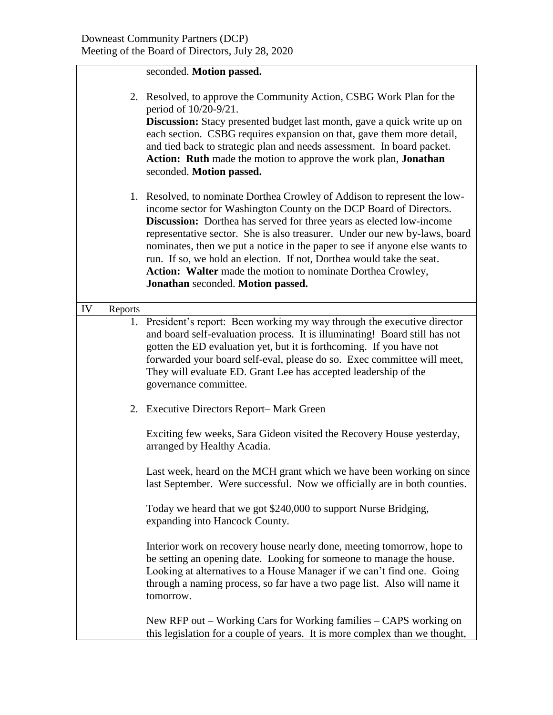# seconded. **Motion passed.**

|    |         | 2. Resolved, to approve the Community Action, CSBG Work Plan for the<br>period of 10/20-9/21.<br>Discussion: Stacy presented budget last month, gave a quick write up on<br>each section. CSBG requires expansion on that, gave them more detail,<br>and tied back to strategic plan and needs assessment. In board packet.<br>Action: Ruth made the motion to approve the work plan, Jonathan<br>seconded. Motion passed.                                                                                                                                               |  |  |
|----|---------|--------------------------------------------------------------------------------------------------------------------------------------------------------------------------------------------------------------------------------------------------------------------------------------------------------------------------------------------------------------------------------------------------------------------------------------------------------------------------------------------------------------------------------------------------------------------------|--|--|
|    |         | 1. Resolved, to nominate Dorthea Crowley of Addison to represent the low-<br>income sector for Washington County on the DCP Board of Directors.<br><b>Discussion:</b> Dorthea has served for three years as elected low-income<br>representative sector. She is also treasurer. Under our new by-laws, board<br>nominates, then we put a notice in the paper to see if anyone else wants to<br>run. If so, we hold an election. If not, Dorthea would take the seat.<br>Action: Walter made the motion to nominate Dorthea Crowley,<br>Jonathan seconded. Motion passed. |  |  |
| IV | Reports |                                                                                                                                                                                                                                                                                                                                                                                                                                                                                                                                                                          |  |  |
|    |         | 1. President's report: Been working my way through the executive director<br>and board self-evaluation process. It is illuminating! Board still has not<br>gotten the ED evaluation yet, but it is forthcoming. If you have not<br>forwarded your board self-eval, please do so. Exec committee will meet,<br>They will evaluate ED. Grant Lee has accepted leadership of the<br>governance committee.                                                                                                                                                                   |  |  |
|    |         | 2. Executive Directors Report-Mark Green                                                                                                                                                                                                                                                                                                                                                                                                                                                                                                                                 |  |  |
|    |         | Exciting few weeks, Sara Gideon visited the Recovery House yesterday,<br>arranged by Healthy Acadia.                                                                                                                                                                                                                                                                                                                                                                                                                                                                     |  |  |
|    |         | Last week, heard on the MCH grant which we have been working on since<br>last September. Were successful. Now we officially are in both counties.                                                                                                                                                                                                                                                                                                                                                                                                                        |  |  |
|    |         | Today we heard that we got \$240,000 to support Nurse Bridging,<br>expanding into Hancock County.                                                                                                                                                                                                                                                                                                                                                                                                                                                                        |  |  |
|    |         | Interior work on recovery house nearly done, meeting tomorrow, hope to<br>be setting an opening date. Looking for someone to manage the house.<br>Looking at alternatives to a House Manager if we can't find one. Going<br>through a naming process, so far have a two page list. Also will name it<br>tomorrow.                                                                                                                                                                                                                                                        |  |  |
|    |         | New RFP out $-$ Working Cars for Working families $-$ CAPS working on<br>this legislation for a couple of years. It is more complex than we thought,                                                                                                                                                                                                                                                                                                                                                                                                                     |  |  |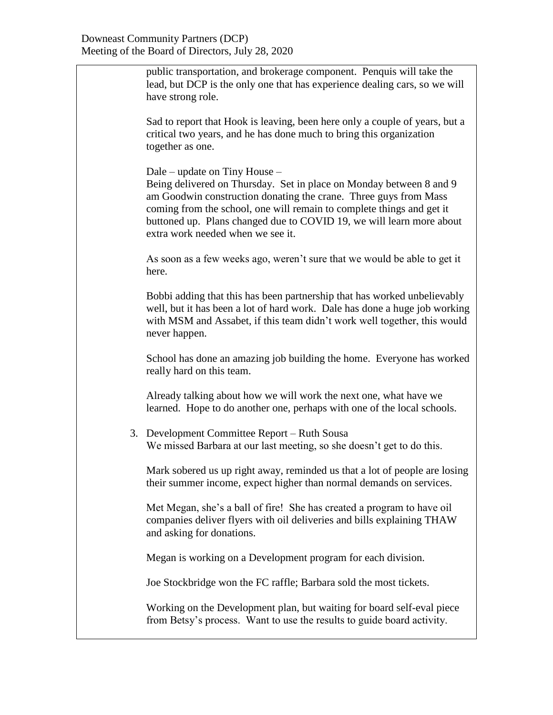public transportation, and brokerage component. Penquis will take the lead, but DCP is the only one that has experience dealing cars, so we will have strong role.

Sad to report that Hook is leaving, been here only a couple of years, but a critical two years, and he has done much to bring this organization together as one.

Dale – update on Tiny House –

Being delivered on Thursday. Set in place on Monday between 8 and 9 am Goodwin construction donating the crane. Three guys from Mass coming from the school, one will remain to complete things and get it buttoned up. Plans changed due to COVID 19, we will learn more about extra work needed when we see it.

As soon as a few weeks ago, weren't sure that we would be able to get it here.

Bobbi adding that this has been partnership that has worked unbelievably well, but it has been a lot of hard work. Dale has done a huge job working with MSM and Assabet, if this team didn't work well together, this would never happen.

School has done an amazing job building the home. Everyone has worked really hard on this team.

Already talking about how we will work the next one, what have we learned. Hope to do another one, perhaps with one of the local schools.

3. Development Committee Report – Ruth Sousa We missed Barbara at our last meeting, so she doesn't get to do this.

Mark sobered us up right away, reminded us that a lot of people are losing their summer income, expect higher than normal demands on services.

Met Megan, she's a ball of fire! She has created a program to have oil companies deliver flyers with oil deliveries and bills explaining THAW and asking for donations.

Megan is working on a Development program for each division.

Joe Stockbridge won the FC raffle; Barbara sold the most tickets.

Working on the Development plan, but waiting for board self-eval piece from Betsy's process. Want to use the results to guide board activity.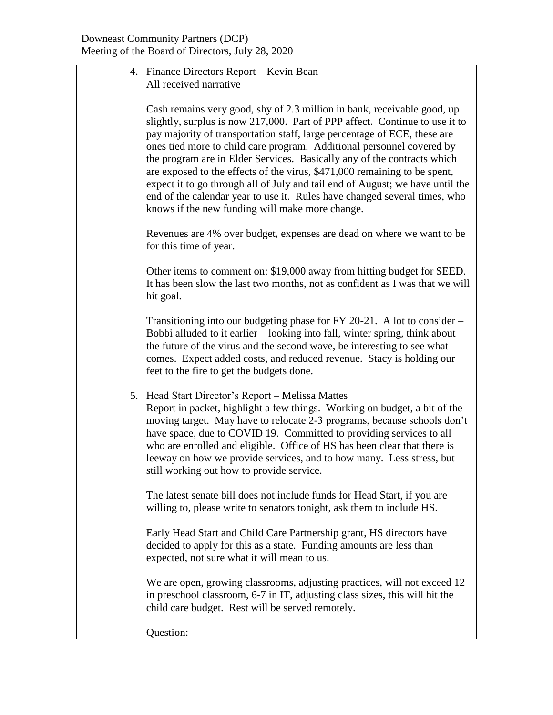4. Finance Directors Report – Kevin Bean All received narrative

Cash remains very good, shy of 2.3 million in bank, receivable good, up slightly, surplus is now 217,000. Part of PPP affect. Continue to use it to pay majority of transportation staff, large percentage of ECE, these are ones tied more to child care program. Additional personnel covered by the program are in Elder Services. Basically any of the contracts which are exposed to the effects of the virus, \$471,000 remaining to be spent, expect it to go through all of July and tail end of August; we have until the end of the calendar year to use it. Rules have changed several times, who knows if the new funding will make more change.

Revenues are 4% over budget, expenses are dead on where we want to be for this time of year.

Other items to comment on: \$19,000 away from hitting budget for SEED. It has been slow the last two months, not as confident as I was that we will hit goal.

Transitioning into our budgeting phase for FY 20-21. A lot to consider – Bobbi alluded to it earlier – looking into fall, winter spring, think about the future of the virus and the second wave, be interesting to see what comes. Expect added costs, and reduced revenue. Stacy is holding our feet to the fire to get the budgets done.

5. Head Start Director's Report – Melissa Mattes

Report in packet, highlight a few things. Working on budget, a bit of the moving target. May have to relocate 2-3 programs, because schools don't have space, due to COVID 19. Committed to providing services to all who are enrolled and eligible. Office of HS has been clear that there is leeway on how we provide services, and to how many. Less stress, but still working out how to provide service.

The latest senate bill does not include funds for Head Start, if you are willing to, please write to senators tonight, ask them to include HS.

Early Head Start and Child Care Partnership grant, HS directors have decided to apply for this as a state. Funding amounts are less than expected, not sure what it will mean to us.

We are open, growing classrooms, adjusting practices, will not exceed 12 in preschool classroom, 6-7 in IT, adjusting class sizes, this will hit the child care budget. Rest will be served remotely.

Question: